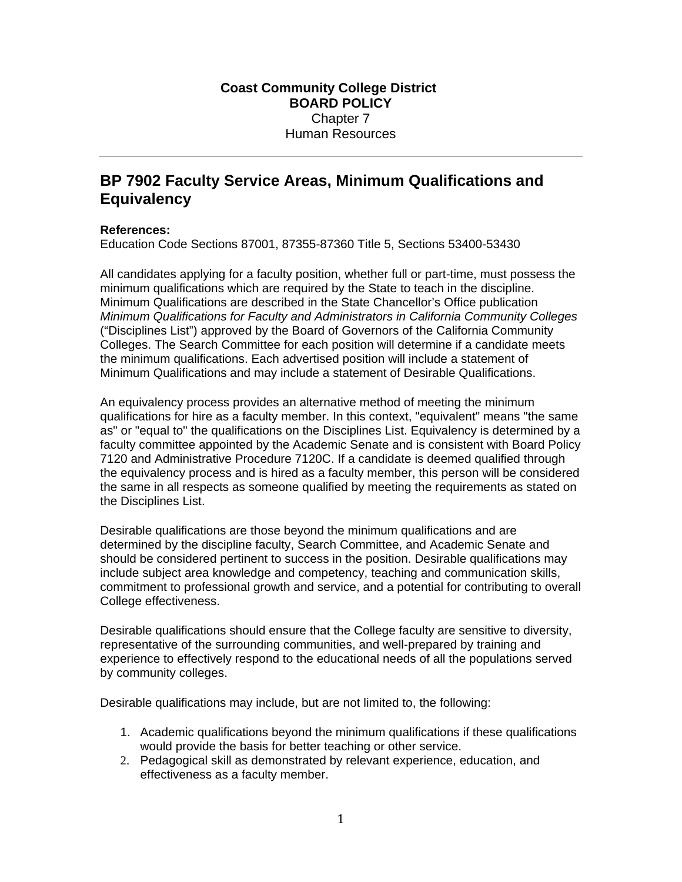## **BP 7902 Faculty Service Areas, Minimum Qualifications and Equivalency**

## **References:**

Education Code Sections 87001, 87355-87360 Title 5, Sections 53400-53430

All candidates applying for a faculty position, whether full or part-time, must possess the minimum qualifications which are required by the State to teach in the discipline. Minimum Qualifications are described in the State Chancellor's Office publication *Minimum Qualifications for Faculty and Administrators in California Community Colleges*  ("Disciplines List") approved by the Board of Governors of the California Community Colleges. The Search Committee for each position will determine if a candidate meets the minimum qualifications. Each advertised position will include a statement of Minimum Qualifications and may include a statement of Desirable Qualifications.

An equivalency process provides an alternative method of meeting the minimum qualifications for hire as a faculty member. In this context, "equivalent" means "the same as" or "equal to" the qualifications on the Disciplines List. Equivalency is determined by a faculty committee appointed by the Academic Senate and is consistent with Board Policy 7120 and Administrative Procedure 7120C. If a candidate is deemed qualified through the equivalency process and is hired as a faculty member, this person will be considered the same in all respects as someone qualified by meeting the requirements as stated on the Disciplines List.

Desirable qualifications are those beyond the minimum qualifications and are determined by the discipline faculty, Search Committee, and Academic Senate and should be considered pertinent to success in the position. Desirable qualifications may include subject area knowledge and competency, teaching and communication skills, commitment to professional growth and service, and a potential for contributing to overall College effectiveness.

Desirable qualifications should ensure that the College faculty are sensitive to diversity, representative of the surrounding communities, and well-prepared by training and experience to effectively respond to the educational needs of all the populations served by community colleges.

Desirable qualifications may include, but are not limited to, the following:

- 1. Academic qualifications beyond the minimum qualifications if these qualifications would provide the basis for better teaching or other service.
- 2. Pedagogical skill as demonstrated by relevant experience, education, and effectiveness as a faculty member.